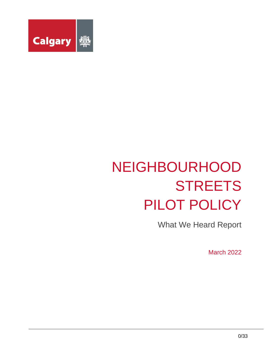

# NEIGHBOURHOOD **STREETS** PILOT POLICY

What We Heard Report

March 2022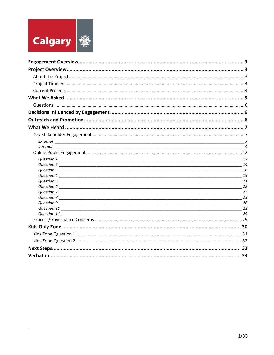

|                  | $\overline{g}$ |
|------------------|----------------|
|                  |                |
|                  |                |
|                  |                |
|                  |                |
|                  |                |
|                  |                |
|                  |                |
|                  |                |
|                  |                |
|                  |                |
| $Question 10$ 28 |                |
|                  |                |
|                  |                |
|                  |                |
|                  |                |
|                  |                |
|                  |                |
|                  |                |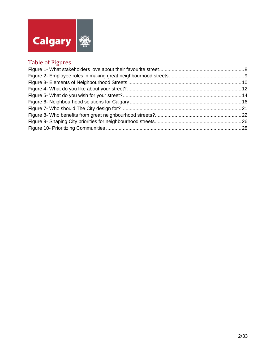

# Table of Figures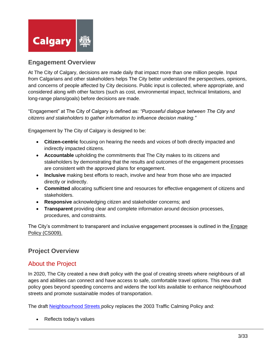

## <span id="page-3-0"></span>**Engagement Overview**

At The City of Calgary, decisions are made daily that impact more than one million people. Input from Calgarians and other stakeholders helps The City better understand the perspectives, opinions, and concerns of people affected by City decisions. Public input is collected, where appropriate, and considered along with other factors (such as cost, environmental impact, technical limitations, and long-range plans/goals) before decisions are made.

"Engagement" at The City of Calgary is defined as: *"Purposeful dialogue between The City and citizens and stakeholders to gather information to influence decision making."*

Engagement by The City of Calgary is designed to be:

- **Citizen-centric** focusing on hearing the needs and voices of both directly impacted and indirectly impacted citizens.
- **Accountable** upholding the commitments that The City makes to its citizens and stakeholders by demonstrating that the results and outcomes of the engagement processes are consistent with the approved plans for engagement.
- **Inclusive** making best efforts to reach, involve and hear from those who are impacted directly or indirectly.
- **Committed** allocating sufficient time and resources for effective engagement of citizens and stakeholders.
- **Responsive** acknowledging citizen and stakeholder concerns; and
- **Transparent** providing clear and complete information around decision processes, procedures, and constraints.

The City's commitment to transparent and inclusive engagement processes is outlined in the **Engage** [Policy \(CS009\).](http://www.calgary.ca/CA/city-clerks/Documents/Council-policy-library/CS009-engage.pdf)

# <span id="page-3-1"></span>**Project Overview**

# <span id="page-3-2"></span>About the Project

In 2020, The City created a new draft policy with the goal of creating streets where neighbours of all ages and abilities can connect and have access to safe, comfortable travel options. This new draft policy goes beyond speeding concerns and widens the tool kits available to enhance neighbourhood streets and promote sustainable modes of transportation.

The draft [Neighbourhood Streets](https://aem.calgary.ca/content/www/en/home/transportation/tp/projects/current-planning-projects/neighbourhood-streets/neighbourhood-streets.html) policy replaces the 2003 Traffic Calming Policy and:

• Reflects today's values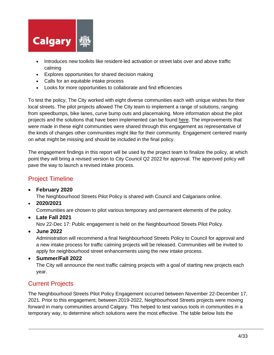

- Introduces new toolkits like resident-led activation or street labs over and above traffic calming
- Explores opportunities for shared decision making
- Calls for an equitable intake process
- Looks for more opportunities to collaborate and find efficiencies

To test the policy, The City worked with eight diverse communities each with unique wishes for their local streets. The pilot projects allowed The City team to implement a range of solutions, ranging from speedbumps, bike lanes, curve bump outs and placemaking. More information about the pilot projects and the solutions that have been implemented can be found [here.](https://www.calgary.ca/transportation/tp/projects/current-planning-projects/neighbourhood-streets/current-projects.html) The improvements that were made in these eight communities were shared through this engagement as representative of the kinds of changes other communities might like for their community. Engagement centered mainly on what might be missing and should be included in the final policy.

The engagement findings in this report will be used by the project team to finalize the policy, at which point they will bring a revised version to City Council Q2 2022 for approval. The approved policy will pave the way to launch a revised intake process.

# <span id="page-4-0"></span>Project Timeline

• **February 2020**

The Neighbourhood Streets Pilot Policy is shared with Council and Calgarians online.

• **2020/2021**

Communities are chosen to pilot various temporary and permanent elements of the policy.

• **Late Fall 2021**

Nov 22-Dec 17: Public engagement is held on the Neighbourhood Streets Pilot Policy.

• **June 2022**

Administration will recommend a final Neighbourhood Streets Policy to Council for approval and a new intake process for traffic calming projects will be released. Communities will be invited to apply for neighbourhood street enhancements using the new intake process.

• **Summer/Fall 2022**

The City will announce the next traffic calming projects with a goal of starting new projects each year.

# <span id="page-4-1"></span>Current Projects

The Neighbourhood Streets Pilot Policy Engagement occurred between November 22-December 17, 2021. Prior to this engagement, between 2019-2022, Neighbourhood Streets projects were moving forward in many communities around Calgary. This helped to test various tools in communities in a temporary way, to determine which solutions were the most effective. The table below lists the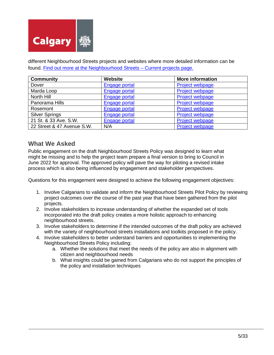

different Neighbourhood Streets projects and websites where more detailed information can be found. [Find out more at the Neighbourhood Streets –](https://www.calgary.ca/transportation/tp/projects/current-planning-projects/neighbourhood-streets/current-projects.html) Current projects page.

| <b>Community</b>           | Website              | <b>More information</b> |
|----------------------------|----------------------|-------------------------|
| Dover                      | <b>Engage portal</b> | Project webpage         |
| Marda Loop                 | Engage portal        | Project webpage         |
| North Hill                 | Engage portal        | Project webpage         |
| Panorama Hills             | Engage portal        | Project webpage         |
| Rosemont                   | Engage portal        | Project webpage         |
| <b>Silver Springs</b>      | Engage portal        | Project webpage         |
| 21 St. & 33 Ave. S.W.      | <b>Engage portal</b> | <b>Project webpage</b>  |
| 22 Street & 47 Avenue S.W. | N/A                  | Project webpage         |

## <span id="page-5-0"></span>**What We Asked**

Public engagement on the draft Neighbourhood Streets Policy was designed to learn what might be missing and to help the project team prepare a final version to bring to Council in June 2022 for approval. The approved policy will pave the way for piloting a revised intake process which is also being influenced by engagement and stakeholder perspectives.

Questions for this engagement were designed to achieve the following engagement objectives:

- 1. Involve Calgarians to validate and inform the Neighbourhood Streets Pilot Policy by reviewing project outcomes over the course of the past year that have been gathered from the pilot projects.
- 2. Involve stakeholders to increase understanding of whether the expanded set of tools incorporated into the draft policy creates a more holistic approach to enhancing neighbourhood streets.
- 3. Involve stakeholders to determine if the intended outcomes of the draft policy are achieved with the variety of neighbourhood streets installations and toolkits proposed in the policy.
- 4. Involve stakeholders to better understand barriers and opportunities to implementing the Neighbourhood Streets Policy including:
	- a. Whether the solutions that meet the needs of the policy are also in alignment with citizen and neighbourhood needs
	- b. What insights could be gained from Calgarians who do not support the principles of the policy and installation techniques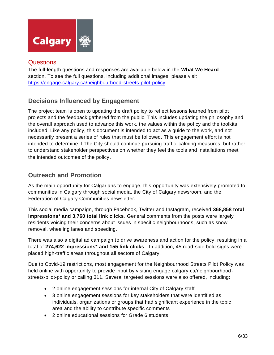

<span id="page-6-0"></span>The full-length questions and responses are available below in the **What We Heard** section. To see the full questions, including additional images, please visit [https://engage.calgary.ca/neighbourhood-streets-pilot-policy.](https://engage.calgary.ca/neighbourhood-streets-pilot-policy)

# <span id="page-6-1"></span>**Decisions Influenced by Engagement**

The project team is open to updating the draft policy to reflect lessons learned from pilot projects and the feedback gathered from the public. This includes updating the philosophy and the overall approach used to advance this work, the values within the policy and the toolkits included. Like any policy, this document is intended to act as a guide to the work, and not necessarily present a series of rules that must be followed. This engagement effort is not intended to determine if The City should continue pursuing traffic calming measures, but rather to understand stakeholder perspectives on whether they feel the tools and installations meet the intended outcomes of the policy.

# <span id="page-6-2"></span>**Outreach and Promotion**

As the main opportunity for Calgarians to engage, this opportunity was extensively promoted to communities in Calgary through social media, the City of Calgary newsroom, and the Federation of Calgary Communities newsletter.

This social media campaign, through Facebook, Twitter and Instagram, received **368,858 total impressions\* and 3,760 total link clicks**. General comments from the posts were largely residents voicing their concerns about issues in specific neighbourhoods, such as snow removal, wheeling lanes and speeding.

There was also a digital ad campaign to drive awareness and action for the policy, resulting in a total of **274,622 impressions\* and 155 link clicks**. In addition, 45 road-side bold signs were placed high-traffic areas throughout all sectors of Calgary.

Due to Covid-19 restrictions, most engagement for the Neighbourhood Streets Pilot Policy was held online with opportunity to provide input by visiting engage.calgary.ca/neighbourhoodstreets-pilot-policy or calling 311. Several targeted sessions were also offered, including:

- 2 online engagement sessions for internal City of Calgary staff
- 3 online engagement sessions for key stakeholders that were identified as individuals, organizations or groups that had significant experience in the topic area and the ability to contribute specific comments
- 2 online educational sessions for Grade 6 students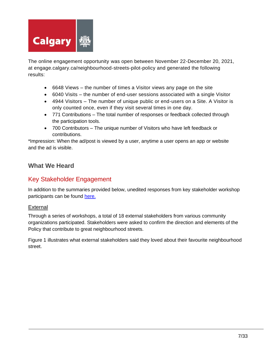

The online engagement opportunity was open between November 22-December 20, 2021, at [engage.calgary.ca/neighbourhood-streets-pilot-policy](https://engage.calgary.ca/neighbourhood-streets-pilot-policy) and generated the following results:

- 6648 Views the number of times a Visitor views any page on the site
- 6040 Visits the number of end-user sessions associated with a single Visitor
- 4944 Visitors The number of unique public or end-users on a Site. A Visitor is only counted once, even if they visit several times in one day.
- 771 Contributions The total number of responses or feedback collected through the participation tools.
- 700 Contributors The unique number of Visitors who have left feedback or contributions.

\*Impression: When the ad/post is viewed by a user, anytime a user opens an app or website and the ad is visible.

## <span id="page-7-0"></span>**What We Heard**

## <span id="page-7-1"></span>Key Stakeholder Engagement

In addition to the summaries provided below, unedited responses from key stakeholder workshop participants can be found [here.](https://www.calgary.ca/content/dam/www/engage/documents/neighbourhood-streets-pilot-policy/wwh-neighbourhood-streets-policy-verbatim.pdf)

## <span id="page-7-2"></span>External

Through a series of workshops, a total of 18 external stakeholders from various community organizations participated. Stakeholders were asked to confirm the direction and elements of the Policy that contribute to great neighbourhood streets.

Figure 1 illustrates what external stakeholders said they loved about their favourite neighbourhood street.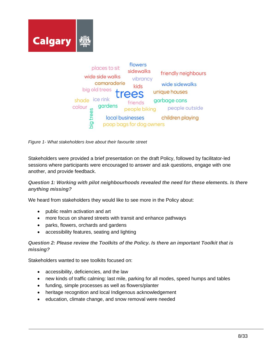



<span id="page-8-0"></span>*Figure 1- What stakeholders love about their favourite street*

Stakeholders were provided a brief presentation on the draft Policy, followed by facilitator-led sessions where participants were encouraged to answer and ask questions, engage with one another, and provide feedback.

*Question 1: Working with pilot neighbourhoods revealed the need for these elements. Is there anything missing?* 

We heard from stakeholders they would like to see more in the Policy about:

- public realm activation and art
- more focus on shared streets with transit and enhance pathways
- parks, flowers, orchards and gardens
- accessibility features, seating and lighting

## *Question 2: Please review the Toolkits of the Policy. Is there an important Toolkit that is missing?*

Stakeholders wanted to see toolkits focused on:

- accessibility, deficiencies, and the law
- new kinds of traffic calming: last mile, parking for all modes, speed humps and tables
- funding, simple processes as well as flowers/planter
- heritage recognition and local Indigenous acknowledgement
- education, climate change, and snow removal were needed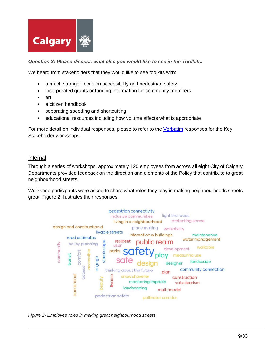

*Question 3: Please discuss what else you would like to see in the Toolkits.*

We heard from stakeholders that they would like to see toolkits with:

- a much stronger focus on accessibility and pedestrian safety
- incorporated grants or funding information for community members
- art
- a citizen handbook
- separating speeding and shortcutting
- educational resources including how volume affects what is appropriate

For more detail on individual responses, please to refer to the [Verbatim](https://www.calgary.ca/content/dam/www/engage/documents/neighbourhood-streets-pilot-policy/wwh-neighbourhood-streets-policy-verbatim.pdf) responses for the Key Stakeholder workshops.

#### <span id="page-9-0"></span>Internal

Through a series of workshops, approximately 120 employees from across all eight City of Calgary Departments provided feedback on the direction and elements of the Policy that contribute to great neighbourhood streets.

Workshop participants were asked to share what roles they play in making neighbourhoods streets great. Figure 2 illustrates their responses.



<span id="page-9-1"></span>*Figure 2- Employee roles in making great neighbourhood streets*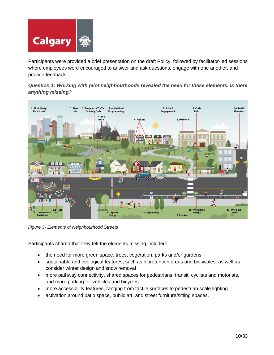

Participants were provided a brief presentation on the draft Policy, followed by facilitator-led sessions where employees were encouraged to answer and ask questions, engage with one another, and provide feedback.

*Question 1: Working with pilot neighbourhoods revealed the need for these elements. Is there anything missing?* 



<span id="page-10-0"></span>*Figure 3- Elements of Neighbourhood Streets*

Participants shared that they felt the elements missing included:

- the need for more green space, trees, vegetation, parks and/or gardens
- sustainable and ecological features, such as bioretention areas and bioswales, as well as consider winter design and snow removal
- more pathway connectivity, shared spaces for pedestrians, transit, cyclists and motorists, and more parking for vehicles and bicycles
- more accessibility features, ranging from tactile surfaces to pedestrian scale lighting
- activation around patio space, public art, and street furniture/sitting spaces.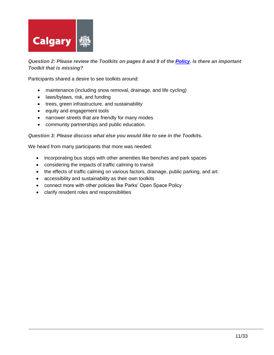

## *Question 2: Please review the Toolkits on pages 8 and 9 of the [Policy.](file:///C:/Users/CALAIRD/Downloads/Neighbourhood%20Streets%20Policy.pdf) Is there an important Toolkit that is missing?*

Participants shared a desire to see toolkits around:

- maintenance (including snow removal, drainage, and life cycling)
- laws/bylaws, risk, and funding
- trees, green infrastructure, and sustainability
- equity and engagement tools
- narrower streets that are friendly for many modes
- community partnerships and public education.

#### *Question 3: Please discuss what else you would like to see in the Toolkits.*

We heard from many participants that more was needed:

- incorporating bus stops with other amenities like benches and park spaces
- considering the impacts of traffic calming to transit
- the effects of traffic calming on various factors, drainage, public parking, and art.
- accessibility and sustainability as their own toolkits
- connect more with other policies like Parks' Open Space Policy
- clarify resident roles and responsibilities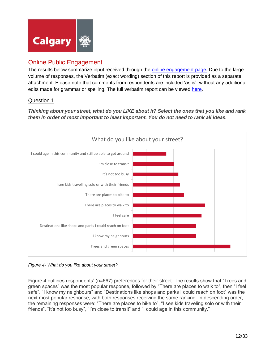

# <span id="page-12-0"></span>Online Public Engagement

The results below summarize input received through the [online engagement page.](https://engage.calgary.ca/neighbourhood-streets-pilot-policy) Due to the large volume of responses, the Verbatim (exact wording) section of this report is provided as a separate attachment. Please note that comments from respondents are included 'as is', without any additional edits made for grammar or spelling. The full verbatim report can be viewed [here.](https://www.calgary.ca/content/dam/www/engage/documents/neighbourhood-streets-pilot-policy/wwh-neighbourhood-streets-policy-verbatim.pdf)

## <span id="page-12-1"></span>Question 1

*Thinking about your street, what do you LIKE about it? Select the ones that you like and rank them in order of most important to least important. You do not need to rank all ideas.*



<span id="page-12-2"></span>*Figure 4- What do you like about your street?*

Figure 4 outlines respondents' (n=667) preferences for their street. The results show that "Trees and green spaces" was the most popular response, followed by "There are places to walk to", then "I feel safe". "I know my neighbours" and "Destinations like shops and parks I could reach on foot" was the next most popular response, with both responses receiving the same ranking. In descending order, the remaining responses were: "There are places to bike to", "I see kids traveling solo or with their friends", "It's not too busy", "I'm close to transit" and "I could age in this community."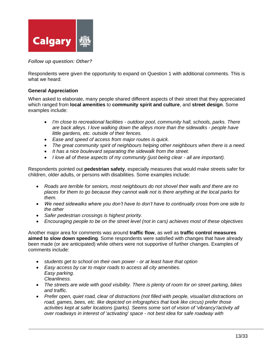

*Follow up question: Other?*

Respondents were given the opportunity to expand on Question 1 with additional comments. This is what we heard:

## **General Appreciation**

When asked to elaborate, many people shared different aspects of their street that they appreciated which ranged from **local amenities** to **community spirit and culture**, and **street design**. Some examples include:

- *I'm close to recreational facilities - outdoor pool, community hall, schools, parks. There are back alleys. I love walking down the alleys more than the sidewalks - people have little gardens, etc. outside of their fences.*
- *Ease and speed of access from major routes is quick.*
- *The great community spirit of neighbours helping other neighbours when there is a need.*
- *It has a nice boulevard separating the sidewalk from the street.*
- *I love all of these aspects of my community (just being clear - all are important).*

Respondents pointed out **pedestrian safety**, especially measures that would make streets safer for children, older adults, or persons with disabilities. Some examples include:

- *Roads are terrible for seniors, most neighbours do not shovel their walls and there are no places for them to go because they cannot walk not is there anything at the local parks for them.*
- *We need sidewalks where you don't have to don't have to continually cross from one side to the other*
- *Safer pedestrian crossings is highest priority.*
- *Encouraging people to be on the street level (not in cars) achieves most of these objectives*

Another major area for comments was around **traffic flow**, as well as **traffic control measures aimed to slow down speeding**. Some respondents were satisfied with changes that have already been made (or are anticipated) while others were not supportive of further changes. Examples of comments include:

- *students get to school on their own power - or at least have that option*
- *Easy access by car to major roads to access all city amenities. Easy parking. Cleanliness.*
- *The streets are wide with good visibility. There is plenty of room for on street parking, bikes and traffic.*
- *Prefer open, quiet road, clear of distractions (not filled with people, visual/art distractions on road, games, bees, etc. like depicted on infographics that look like circus) prefer those activities kept at safer locations (parks). Seems some sort of vision of 'vibrancy'/activity all over roadways in interest of 'activating' space - not best idea for safe roadway with*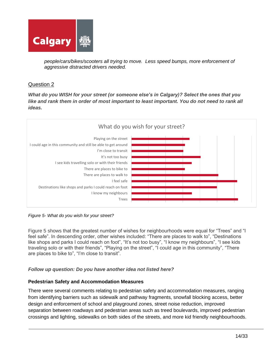

*people/cars/bikes/scooters all trying to move. Less speed bumps, more enforcement of aggressive distracted drivers needed.*

## <span id="page-14-0"></span>Question 2

*What do you WISH for your street (or someone else's in Calgary)? Select the ones that you*  like and rank them in order of most important to least important. You do not need to rank all *ideas.*



<span id="page-14-1"></span>*Figure 5- What do you wish for your street?*

Figure 5 shows that the greatest number of wishes for neighbourhoods were equal for "Trees" and "I feel safe". In descending order, other wishes included: "There are places to walk to", "Destinations like shops and parks I could reach on foot", "It's not too busy", "I know my neighbours", "I see kids traveling solo or with their friends", "Playing on the street", "I could age in this community", "There are places to bike to", "I'm close to transit".

## *Follow up question: Do you have another idea not listed here?*

#### **Pedestrian Safety and Accommodation Measures**

There were several comments relating to pedestrian safety and accommodation measures, ranging from identifying barriers such as sidewalk and pathway fragments, snowfall blocking access, better design and enforcement of school and playground zones, street noise reduction, improved separation between roadways and pedestrian areas such as treed boulevards, improved pedestrian crossings and lighting, sidewalks on both sides of the streets, and more kid friendly neighbourhoods.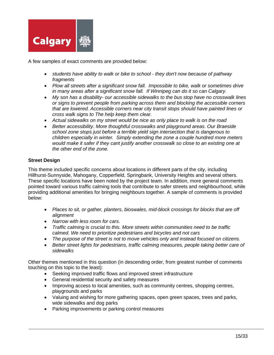

A few samples of exact comments are provided below:

- *students have ability to walk or bike to school - they don't now because of pathway fragments*
- *Plow all streets after a significant snow fall. Impossible to bike, walk or sometimes drive in many areas after a significant snow fall. If Winnipeg can do it so can Calgary.*
- *My son has a disability- our accessible sidewalks to the bus stop have no crosswalk lines or signs to prevent people from parking across them and blocking the accessible corners that are lowered. Accessible corners near city transit stops should have painted lines or cross walk signs to The help keep them clear.*
- *Actual sidewalks on my street would be nice as only place to walk is on the road*
- *Better accessibility. More thoughtful crosswalks and playground areas. Our Braeside school zone stops just before a terrible yield sign intersection that is dangerous to children especially in winter. Simply extending the zone a couple hundred more meters would make it safer if they cant justify another crosswalk so close to an existing one at the other end of the zone.*

## **Street Design**

This theme included specific concerns about locations in different parts of the city, including Hillhurst-Sunnyside, Mahogany, Copperfield, Springbank, University Heights and several others. These specific locations have been noted by the project team. In addition, more general comments pointed toward various traffic calming tools that contribute to safer streets and neighbourhood, while providing additional amenities for bringing neighbours together. A sample of comments is provided below:

- *Places to sit, or gather, planters, bioswales, mid-block crossings for blocks that are off alignment*
- *Narrow with less room for cars.*
- *Traffic calming is crucial to this. More streets within communities need to be traffic calmed. We need to prioritize pedestrians and bicycles and not cars*
- *The purpose of the street is not to move vehicles only and instead focused on citizens.*
- *Better street lights for pedestrians, traffic calming measures, people taking better care of sidewalks*

Other themes mentioned in this question (in descending order, from greatest number of comments touching on this topic to the least):

- Seeking improved traffic flows and improved street infrastructure
- General residential security and safety measures
- Improving access to local amenities, such as community centres, shopping centres, playgrounds and parks
- Valuing and wishing for more gathering spaces, open green spaces, trees and parks, wide sidewalks and dog parks
- Parking improvements or parking control measures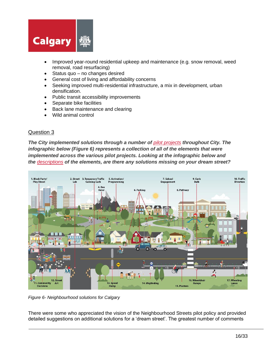

- Improved year-round residential upkeep and maintenance (e.g. snow removal, weed removal, road resurfacing)
- Status quo  $-$  no changes desired
- General cost of living and affordability concerns
- Seeking improved multi-residential infrastructure, a mix in development, urban densification.
- Public transit accessibility improvements
- Separate bike facilities
- Back lane maintenance and clearing
- Wild animal control

<span id="page-16-0"></span>*The City implemented solutions through a number of [pilot projects](https://www.calgary.ca/transportation/tp/projects/current-planning-projects/neighbourhood-streets/current-projects.html) throughout City. The infographic below (Figure 6) represents a collection of all of the elements that were implemented across the various pilot projects. Looking at the infographic below and the [descriptions](https://www.calgary.ca/transportation/tp/projects/current-planning-projects/neighbourhood-streets/neighbourhood-streets.html) of the elements, are there any solutions missing on your dream street?*



<span id="page-16-1"></span>*Figure 6- Neighbourhood solutions for Calgary*

There were some who appreciated the vision of the Neighbourhood Streets pilot policy and provided detailed suggestions on additional solutions for a 'dream street'. The greatest number of comments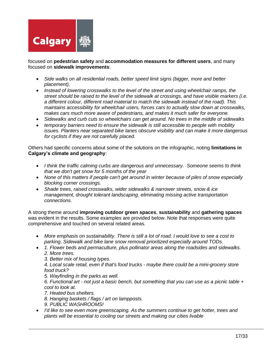

focused on **pedestrian safety** and **accommodation measures for different users**, and many focused on **sidewalk improvements**:

- *Side walks on all residential roads, better speed limit signs (bigger, more and better placement),*
- *Instead of lowering crosswalks to the level of the street and using wheelchair ramps, the street should be raised to the level of the sidewalk at crossings, and have visible markers (i.e. a different colour, different road material to match the sidewalk instead of the road). This maintains accessibility for wheelchair users, forces cars to actually slow down at crosswalks, makes cars much more aware of pedestrians, and makes it much safer for everyone.*
- *Sidewalks and curb cuts so wheelchairs can get around. No trees in the middle of sidewalks*
- *temporary barriers need to ensure the sidewalk is still accessible to people with mobility issues. Planters near separated bike lanes obscure visibility and can make it more dangerous for cyclists if they are not carefully placed.*

Others had specific concerns about some of the solutions on the infographic, noting **limitations in Calgary's climate and geography**:

- *I think the traffic calming curbs are dangerous and unnecessary. Someone seems to think that we don't get snow for 5 months of the year*
- *None of this matters if people can't get around in winter because of piles of snow especially blocking corner crossings.*
- *Shade trees, raised crosswalks, wider sidewalks & narrower streets, snow & ice management, drought tolerant landscaping, eliminating missing active transportation connections.*

A strong theme around **improving outdoor green spaces**, **sustainability** and **gathering spaces** was evident in the results. Some examples are provided below. Note that responses were quite comprehensive and touched on several related areas.

- *More emphasis on sustainability. There is still a lot of road. I would love to see a cost to parking. Sidewalk and bike lane snow removal prioritized especially around TODs.*
- *1. Flower beds and permaculture, plus pollinator areas along the roadsides and sidewalks. 2. More trees.*

*3. Better mix of housing types.* 

*4. Local scale retail, even if that's food trucks - maybe there could be a mini-grocery store food truck?* 

*5. Wayfinding in the parks as well.* 

*6. Functional art - not just a basic bench, but something that you can use as a picnic table + cool to look at.*

*7. Heated bus shelters.* 

- *8. Hanging baskets / flags / art on lampposts.*
- *9. PUBLIC WASHROOMS!*
- *I'd like to see even more greenscaping. As the summers continue to get hotter, trees and plants will be essential to cooling our streets and making our cities livable*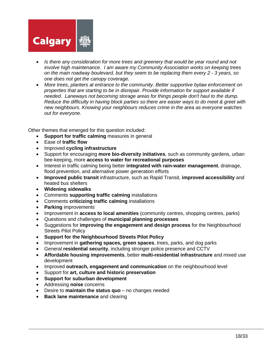

- *Is there any consideration for more trees and greenery that would be year round and not involve high maintenance. I am aware my Community Association works on keeping trees on the main roadway boulevard, but they seem to be replacing them every 2 - 3 years, so one does not get the canopy coverage.*
- *More trees, planters at entrance to the community. Better supportive bylaw enforcement on properties that are starting to be in disrepair. Provide information for support available if needed. Laneways not becoming storage areas for things people don't haul to the dump. Reduce the difficulty in having block parties so there are easier ways to do meet & greet with new neighbours. Knowing your neighbours reduces crime in the area as everyone watches out for everyone.*

Other themes that emerged for this question included:

- **Support for traffic calming** measures in general
- Ease of **traffic flow**
- Improved **cycling infrastructure**
- Support for encouraging **more bio-diversity initiatives**, such as community gardens, urban bee-keeping, more **access to water for recreational purposes**
- Interest in traffic calming being better **integrated with rain-water management**, drainage, flood prevention, and alternative power generation efforts
- **Improved public transit** infrastructure, such as Rapid Transit, **improved accessibility** and heated bus shelters
- **Widening sidewalks**
- Comments **supporting traffic calming** installations
- Comments **criticizing traffic calming** installations
- **Parking** improvements
- Improvement in **access to local amenities** (community centres, shopping centres, parks)
- Questions and challenges of **municipal planning processes**
- Suggestions for **improving the engagement and design process** for the Neighbourhood Streets Pilot Policy
- **Support for the Neighbourhood Streets Pilot Policy**
- Improvement in **gathering spaces, green spaces**, trees, parks, and dog parks
- General **residential security**, including stronger police presence and CCTV
- **Affordable housing improvements**, better **multi-residential infrastructure** and mixed use development
- Improved **outreach, engagement and communication** on the neighbourhood level
- Support for **art, culture and historic preservation**
- **Support for suburban development**
- Addressing **noise** concerns
- Desire to **maintain the status quo** no changes needed
- **Back lane maintenance** and clearing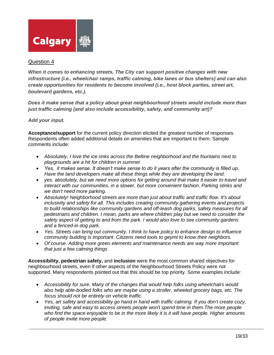

<span id="page-19-0"></span>*When it comes to enhancing streets, The City can support positive changes with new infrastructure (i.e., wheelchair ramps, traffic calming, bike lanes or bus shelters) and can also create opportunities for residents to become involved (i.e., host block parties, street art, boulevard gardens, etc.).*

*Does it make sense that a policy about great neighbourhood streets would include more than just traffic calming (and also include accessibility, safety, and community art)?*

## *Add your input.*

**Acceptance/support** for the current policy direction elicited the greatest number of responses. Respondents often added additional details on amenities that are important to them. Sample comments include:

- *Absolutely, I love the ice rinks across the Beltine neighborhood and the fountains next to playgrounds are a hit for children in summer*
- *Yes, it makes sense. It doesn't make sense to do it years after the community is filled up. Have the land developers make all these things while they are developing the land.*
- *yes. absolutely, but we need more options for getting around that make it easier to travel and interact with our communities, in a slower, but more convenient fashion. Parking stinks and we don't need more parking.*
- *Absolutely! Neighborhood streets are more than just about traffic and traffic flow. It's about inclusivity and safety for all. This includes creating community gathering events and projects to build relationships like community gardens and off-leash dog parks, safety measures for all pedestrians and children. I mean, parks are where children play but we need to consider the safety aspect of getting to and from the park. I would also love to see community gardens and a fenced-in dog park.*
- *Yes. Streets can bring out community. I think to have policy to enhance design to influence community building is important. Citizens need tools to geymt to know their neighbors.*
- *Of course. Adding more green elements and maintenance needs are way more important that just a few calming things*

**Accessibility, pedestrian safety,** and **inclusion** were the most common shared objectives for neighbourhood streets, even if other aspects of the Neighbourhood Streets Policy were not supported. Many respondents pointed out that this should be top priority. Some examples include:

- *Accessibility for sure. Many of the changes that would help folks using wheelchairs would also help able-bodied folks who are maybe using a stroller, wheeled grocery bags, etc. The focus should not be entirely on vehicle traffic.*
- *Yes, art safety and accessibility go hand in hand with traffic calming. If you don't create cozy, inviting, safe and easy to access streets people won't spend time in them.The more people who find the space enjoyable to be in the more likely it is it will have people. Higher amounts of people invite more people.*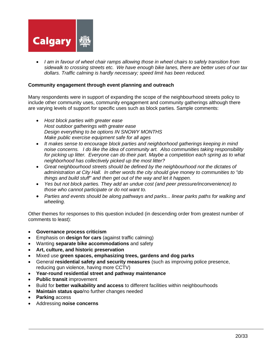

• *I am in favour of wheel chair ramps allowing those in wheel chairs to safely transition from sidewalk to crossing streets etc. We have enough bike lanes, there are better uses of our tax dollars. Traffic calming is hardly necessary; speed limit has been reduced.*

#### **Community engagement through event planning and outreach**

Many respondents were in support of expanding the scope of the neighbourhood streets policy to include other community uses, community engagement and community gatherings although there are varying levels of support for specific uses such as block parties. Sample comments:

- *Host block parties with greater ease Host outdoor gatherings with greater ease Design everything to be options IN SNOWY MONTHS Make public exercise equipment safe for all ages*
- *It makes sense to encourage block parties and neighborhood gatherings keeping in mind noise concerns. I do like the idea of community art. Also communities taking responsibility for picking up litter. Everyone can do their part. Maybe a competition each spring as to what neighborhood has collectively picked up the most litter?*
- *Great neighbourhood streets should be defined by the neighbourhood not the dictates of administration at City Hall. In other words the city should give money to communities to "do things and build stuff" and then get out of the way and let it happen.*
- *Yes but not block parties. They add an undue cost (and peer pressure/inconvenience) to those who cannot participate or do not want to.*
- *Parties and events should be along pathways and parks... linear parks paths for walking and wheeling.*

Other themes for responses to this question included (in descending order from greatest number of comments to least):

- **Governance process criticism**
- Emphasis on **design for cars** (against traffic calming)
- Wanting **separate bike accommodations** and safety
- **Art, culture, and historic preservation**
- Mixed use **green spaces, emphasizing trees, gardens and dog parks**
- General **residential safety and security measures** (such as improving police presence, reducing gun violence, having more CCTV)
- **Year-round residential street and pathway maintenance**
- **Public transit improvement**
- Build for **better walkability and access** to different facilities within neighbourhoods
- **Maintain status quo**/no further changes needed
- **Parking** access
- Addressing **noise concerns**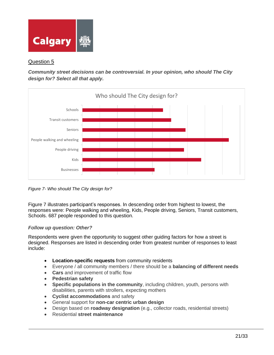

<span id="page-21-0"></span>*Community street decisions can be controversial. In your opinion, who should The City design for? Select all that apply.*



<span id="page-21-1"></span>*Figure 7- Who should The City design for?*

Figure 7 illustrates participant's responses. In descending order from highest to lowest, the responses were: People walking and wheeling, Kids, People driving, Seniors, Transit customers, Schools. 687 people responded to this question.

## *Follow up question: Other?*

Respondents were given the opportunity to suggest other guiding factors for how a street is designed. Responses are listed in descending order from greatest number of responses to least include:

- **Location-specific requests** from community residents
- Everyone / all community members / there should be a **balancing of different needs**
- **Cars** and improvement of traffic flow
- **Pedestrian safety**
- **Specific populations in the community**, including children, youth, persons with disabilities, parents with strollers, expecting mothers
- **Cyclist accommodations** and safety
- General support for **non-car centric urban design**
- Design based on **roadway designation** (e.g., collector roads, residential streets)
- Residential **street maintenance**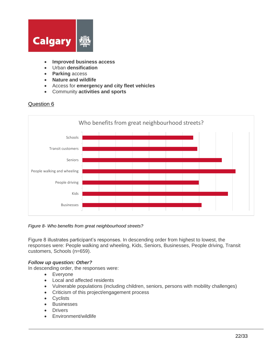

- **Improved business access**
- Urban **densification**
- **Parking** access
- **Nature and wildlife**
- Access for **emergency and city fleet vehicles**
- Community **activities and sports**

<span id="page-22-0"></span>

#### <span id="page-22-1"></span>*Figure 8- Who benefits from great neighbourhood streets?*

Figure 8 illustrates participant's responses. In descending order from highest to lowest, the responses were: People walking and wheeling, Kids, Seniors, Businesses, People driving, Transit customers, Schools (n=659).

#### *Follow up question: Other?*

In descending order, the responses were:

- Everyone
- Local and affected residents
- Vulnerable populations (including children, seniors, persons with mobility challenges)
- Criticism of this project/engagement process
- **Cyclists**
- **Businesses**
- **Drivers**
- Environment/wildlife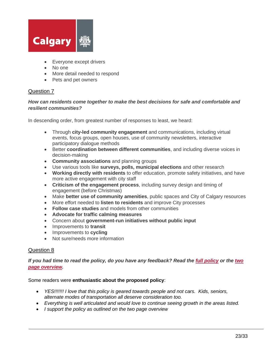

- Everyone except drivers
- No one
- More detail needed to respond
- Pets and pet owners

#### <span id="page-23-0"></span>*How can residents come together to make the best decisions for safe and comfortable and resilient communities?*

In descending order, from greatest number of responses to least, we heard:

- Through **city-led community engagement** and communications, including virtual events, focus groups, open houses, use of community newsletters, interactive participatory dialogue methods
- Better **coordination between different communities**, and including diverse voices in decision-making
- **Community associations** and planning groups
- Use various tools like **surveys, polls, municipal elections** and other research
- **Working directly with residents** to offer education, promote safety initiatives, and have more active engagement with city staff
- **Criticism of the engagement process**, including survey design and timing of engagement (before Christmas)
- Make **better use of community amenities**, public spaces and City of Calgary resources
- More effort needed to **listen to residents** and improve City processes
- **Follow case studies** and models from other communities
- **Advocate for traffic calming measures**
- Concern about **government-run initiatives without public input**
- Improvements to **transit**
- Improvements to **cycling**
- Not sure/needs more information

#### <span id="page-23-1"></span>Question 8

#### *If you had time to read the policy, do you have any feedback? Read the [full policy](https://calgary.ca/content/dam/www/transportation/tp/documents/planning/Neighbourhood%20Streets%20Policy.pdf) or the [two](https://www.calgary.ca/content/dam/www/engage/documents/neighbourhood-streets-pilot-policy/prototype-neighbourhood-streets-policy.pdf)  [page overview.](https://www.calgary.ca/content/dam/www/engage/documents/neighbourhood-streets-pilot-policy/prototype-neighbourhood-streets-policy.pdf)*

#### Some readers were **enthusiastic about the proposed policy**:

- *YES!!!!!!! I love that this policy is geared towards people and not cars. Kids, seniors, alternate modes of transportation all deserve consideration too.*
- *Everything is well articulated and would love to continue seeing growth in the areas listed.*
- *I support the policy as outlined on the two page overview*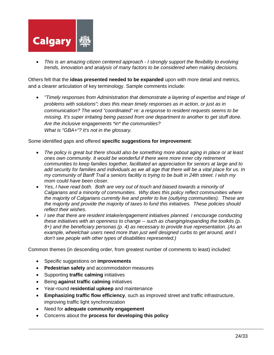

• *This is an amazing citizen centered approach - I strongly support the flexibility to evolving trends, innovation and analysis of many factors to be considered when making decisions.*

Others felt that the **ideas presented needed to be expanded** upon with more detail and metrics, and a clearer articulation of key terminology. Sample comments include:

• *"Timely responses from Administration that demonstrate a layering of expertise and triage of problems with solutions"; does this mean timely responses as in action, or just as in communication? The word "coordinated" re: a response to resident requests seems to be missing. It's super irritating being passed from one department to another to get stuff done. Are the inclusive engagements \*in\* the communities? What is "GBA+"? It's not in the glossary.*

Some identified gaps and offered **specific suggestions for improvement**:

- *The policy is great but there should also be something more about aging in place or at least ones own community. It would be wonderful if there were more inner city retirement communities to keep families together, facilitated an appreciation for seniors at large and to add security for families and individuals as we all age that there will be a vital place for us. In my community of Banff Trail a seniors facility is trying to be built in 24th street. I wish my mom could have been closer.*
- *Yes, I have read both. Both are very out of touch and biased towards a minority of Calgarians and a minority of communities. Why does this policy reflect communities where the majority of Calgarians currently live and prefer to live (outlying communities). These are the majority and provide the majority of taxes to fund this initiatives. These policies should reflect their wishes.*
- *I see that there are resident intake/engagement initiatives planned. I encourage conducting these initiatives with an openness to change -- such as changing/expanding the toolkits (p. 8+) and the beneficiary personas (p. 4) as necessary to provide true representation. (As an example, wheelchair users need more than just well designed curbs to get around, and I don't see people with other types of disabilities represented.)*

Common themes (in descending order, from greatest number of comments to least) included:

- Specific suggestions on **improvements**
- **Pedestrian safety** and accommodation measures
- Supporting **traffic calming** initiatives
- Being **against traffic calming** initiatives
- Year-round **residential upkeep** and maintenance
- **Emphasizing traffic flow efficiency**, such as improved street and traffic infrastructure, improving traffic light synchronization
- Need for **adequate community engagement**
- Concerns about the **process for developing this policy**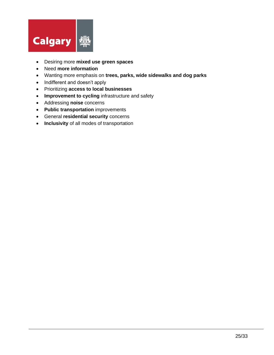

- Desiring more **mixed use green spaces**
- Need **more information**
- Wanting more emphasis on **trees, parks, wide sidewalks and dog parks**
- Indifferent and doesn't apply
- Prioritizing **access to local businesses**
- **Improvement to cycling** infrastructure and safety
- Addressing **noise** concerns
- **Public transportation** improvements
- General **residential security** concerns
- **Inclusivity** of all modes of transportation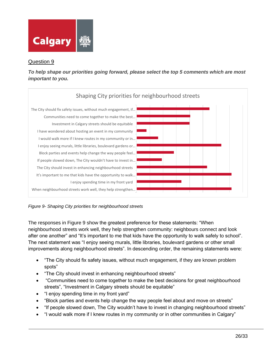

<span id="page-26-0"></span>*To help shape our priorities going forward, please select the top 5 comments which are most important to you.*



<span id="page-26-1"></span>*Figure 9- Shaping City priorities for neighbourhood streets*

The responses in Figure 9 show the greatest preference for these statements: "When neighbourhood streets work well, they help strengthen community: neighbours connect and look after one another" and "It's important to me that kids have the opportunity to walk safely to school". The next statement was "I enjoy seeing murals, little libraries, boulevard gardens or other small improvements along neighbourhood streets". In descending order, the remaining statements were:

- "The City should fix safety issues, without much engagement, if they are known problem spots"
- "The City should invest in enhancing neighbourhood streets"
- "Communities need to come together to make the best decisions for great neighbourhood streets", "Investment in Calgary streets should be equitable"
- "I enjoy spending time in my front yard"
- "Block parties and events help change the way people feel about and move on streets"
- "If people slowed down, The City wouldn't have to invest in changing neighbourhood streets"
- "I would walk more if I knew routes in my community or in other communities in Calgary"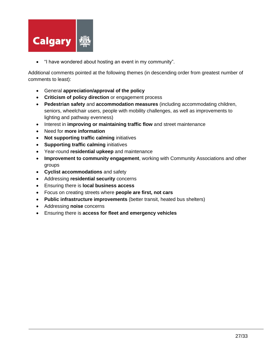

• "I have wondered about hosting an event in my community".

Additional comments pointed at the following themes (in descending order from greatest number of comments to least):

- General **appreciation/approval of the policy**
- **Criticism of policy direction** or engagement process
- **Pedestrian safety** and **accommodation measures** (including accommodating children, seniors, wheelchair users, people with mobility challenges, as well as improvements to lighting and pathway evenness)
- Interest in **improving or maintaining traffic flow** and street maintenance
- Need for **more information**
- **Not supporting traffic calming** initiatives
- **Supporting traffic calming** initiatives
- Year-round **residential upkeep** and maintenance
- **Improvement to community engagement**, working with Community Associations and other groups
- **Cyclist accommodations** and safety
- Addressing **residential security** concerns
- Ensuring there is **local business access**
- Focus on creating streets where **people are first, not cars**
- **Public infrastructure improvements** (better transit, heated bus shelters)
- Addressing **noise** concerns
- Ensuring there is **access for fleet and emergency vehicles**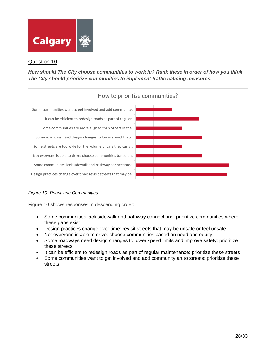

<span id="page-28-0"></span>*How should The City choose communities to work in? Rank these in order of how you think The City should prioritize communities to implement traffic calming measures.*



<span id="page-28-1"></span>*Figure 10- Prioritizing Communities*

Figure 10 shows responses in descending order:

- Some communities lack sidewalk and pathway connections: prioritize communities where these gaps exist
- Design practices change over time: revisit streets that may be unsafe or feel unsafe
- Not everyone is able to drive: choose communities based on need and equity
- Some roadways need design changes to lower speed limits and improve safety: prioritize these streets
- It can be efficient to redesign roads as part of regular maintenance: prioritize these streets
- Some communities want to get involved and add community art to streets: prioritize these streets.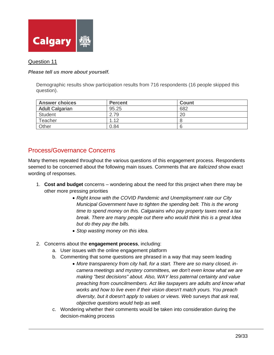

#### <span id="page-29-0"></span>*Please tell us more about yourself.*

Demographic results show participation results from 716 respondents (16 people skipped this question).

| <b>Answer choices</b>  | <b>Percent</b> | Count |
|------------------------|----------------|-------|
| <b>Adult Calgarian</b> | 95.25          | 682   |
| Student                | 2.79           | 20    |
| Teacher                | 1.12           |       |
| Other                  | 0.84           |       |

## <span id="page-29-1"></span>Process/Governance Concerns

Many themes repeated throughout the various questions of this engagement process. Respondents seemed to be concerned about the following main issues. Comments that are *italicized* show exact wording of responses.

- 1. **Cost and budget** concerns wondering about the need for this project when there may be other more pressing priorities
	- *Right know with the COVID Pandemic and Unemployment rate our City Municipal Government have to tighten the spending belt. This is the wrong time to spend money on this. Calgarains who pay property taxes need a tax break. There are many people out there who would think this is a great Idea but do they pay the bills.*
	- *Stop wasting money on this idea.*
- 2. Concerns about the **engagement process**, including:
	- a. User issues with the online engagement platform
	- b. Commenting that some questions are phrased in a way that may seem leading
		- *More transparency from city hall, for a start. There are so many closed, incamera meetings and mystery committees, we don't even know what we are making "best decisions" about. Also, WAY less paternal certainty and value preaching from councilmembers. Act like taxpayers are adults and know what works and how to live even if their vision doesn't match yours. You preach diversity, but it doesn't apply to values or views. Web surveys that ask real, objective questions would help as well.*
	- c. Wondering whether their comments would be taken into consideration during the decision-making process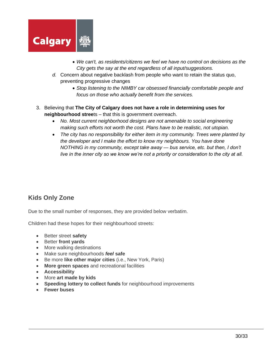

- *We can't, as residents/citizens we feel we have no control on decisions as the City gets the say at the end regardless of all input/suggestions.*
- *d.* Concern about negative backlash from people who want to retain the status quo, preventing progressive changes
	- *Stop listening to the NIMBY car obsessed financially comfortable people and focus on those who actually benefit from the services.*
- 3. Believing that **The City of Calgary does not have a role in determining uses for neighbourhood stree**ts – that this is government overreach.
	- *No. Most current neighborhood designs are not amenable to social engineering making such efforts not worth the cost. Plans have to be realistic, not utopian.*
	- *The city has no responsibility for either item in my community. Trees were planted by the developer and I make the effort to know my neighbours. You have done NOTHING in my community, except take away — bus service, etc. but then, I don't live in the inner city so we know we're not a priority or consideration to the city at all.*

# <span id="page-30-0"></span>**Kids Only Zone**

Due to the small number of responses, they are provided below verbatim.

Children had these hopes for their neighbourhood streets:

- Better street **safety**
- Better **front yards**
- More walking destinations
- Make sure neighbourhoods *feel* **safe**
- Be more **like other major cities** (i.e., New York, Paris)
- **More green spaces** and recreational facilities
- **Accessibility**
- More **art made by kids**
- **Speeding lottery to collect funds** for neighbourhood improvements
- **Fewer buses**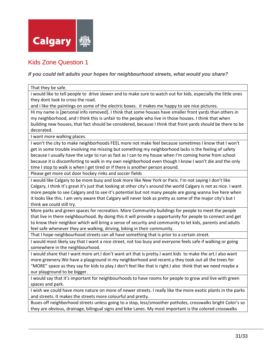

# <span id="page-31-0"></span>Kids Zone Question 1

#### *If you could tell adults your hopes for neighbourhood streets, what would you share?*

#### That they be safe.

i would like to tell people to drive slower and to make sure to watch out for kids. especially the little ones they dont look to cross the road.

and i like the paintings on some of the electric boxes. it makes me happy to see nice pictures.

Hi my name is [personal info removed]. I think that some houses have smaller front yards than others in my neighborhood, and I think this is unfair to the people who live in those houses. I think that when building new houses, that fact should be considered, because I think that front yards should be there to be decorated.

I want more walking places.

I won't the city to make neighborhoods FEEL more not make feel because sometimes I know that I won't get in some trouble involving me missing but something my neighborhood lacks is the feeling of safety because I usually have the urge to run as fast as I can to my house when I'm coming home from school because it is discomforting to walk in my own neighborhood even though I know I won't die and the only time I stop to walk is when I get tired or if there is another person around.

Please get more out door hockey rinks and soccer fields

I would like Calgary to be more busy and look more like New York or Paris. I'm not saying I don't like Calgary, I think it's great it's just that looking at other city's around the world Calgary is not as nice. I want more people to see Calgary and to see it's potential but not many people are going wanna live here when it looks like this. I am very aware that Calgary will never look as pretty as some of the major city's but I think we could still try.

More parks and green spaces for recreation. More Community buildings for people to meet the people that live in there neighbourhood. By doing this it will provide a opportunity for people to connect and get to know their neighbor which will bring a sense of security and community to let kids, parents and adults feel safe whenever they are walking, driving, biking in their community.

That I hope neighbourhood streets can all have something that is prior to a certain street.

I would most likely say that I want a nice street, not too busy and everyone feels safe if walking or going somewhere in the neighbourhood.

I would share that I want more art.I don't want art that is pretty.I want kids to make the art.I also want more greenery.We have a playground in my neighborhood and recent.y they took out all the trees for "MORE" space as they say for kids to play.I don't feel like that is right.I also think that we need maybe a our playground to be bigger.

I would say that it's important for neighbourhoods to have rooms for people to grow and live with green spaces and park.

I wish we could have more nature on more of newer streets. I really like the more exotic plants in the parks and streets. It makes the streets more colourful and pretty.

Buses off neighborhood streets unless going to a stop, less/smoother potholes, crosswalks bright Color's so they are obvious, drainage, bilingual signs and bike Lanes. My most important is the colored crosswalks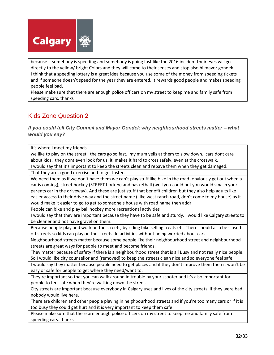

because if somebody is speeding and somebody is going fast like the 2016 incident their eyes will go directly to the yellow/ bright Colors and they will come to their senses and stop also hi mayor gondek!

I think that a speeding lottery is a great idea because you use some of the money from speeding tickets and if someone doesn't speed for the year they are entered. It rewards good people and makes speeding people feel bad.

Please make sure that there are enough police officers on my street to keep me and family safe from speeding cars. thanks

# <span id="page-32-0"></span>Kids Zone Question 2

*If you could tell City Council and Mayor Gondek why neighbourhood streets matter – what would you say?*

It's where I meet my friends.

we like to play on the street. the cars go so fast. my mum yells at them to slow down. cars dont care about kids. they dont even look for us. it makes it hard to cross safely. even at the crosswalk.

I would say that it's important to keep the streets clean and repave them when they get damaged.

That they are a good exercise and to get faster.

We need them as if we don't have them we can't play stuff like bike in the road (obviously get out when a car is coming), street hockey (STREET hockey) and basketball (well you could but you would smash your parents car in the driveway). And these are just stuff that benefit children but they also help adults like easier access to their drive way and the street name ( like west ranch road, don't come to my house) as it would make it easier to go to get to someone's house with road name then addr

People can bike and play ball hockey more recreational activities

I would say that they are important because they have to be safe and sturdy. I would like Calgary streets to be cleaner and not have gravel on them.

Because people play and work on the streets, by riding bike selling treats etc. There should also be closed off streets so kids can play on the streets do activities without being worried about cars.

Neighbourhood streets matter because some people like their neighbourhood street and neighbourhood streets are great ways for people to meet and become friends.

They matter because of safety if there is a neighbourhood street that is all Busy and not really nice people. So I would like city counsellor and [removed] to keep the streets clean nice and so everyone feel safe.

I would say they matter because people need to get places and if they don't improve them then it won't be easy or safe for people to get where they need/want to.

They're important so that you can walk around in trouble by your scooter and it's also important for people to feel safe when they're walking down the street.

City streets are important because everybody in Calgary uses and lives of the city streets. If they were bad nobody would live here.

There are children and other people playing in neighbourhood streets and if you're too many cars or if it is too busy they could get hurt and it is very important to keep them safe

Please make sure that there are enough police officers on my street to keep me and family safe from speeding cars. thanks